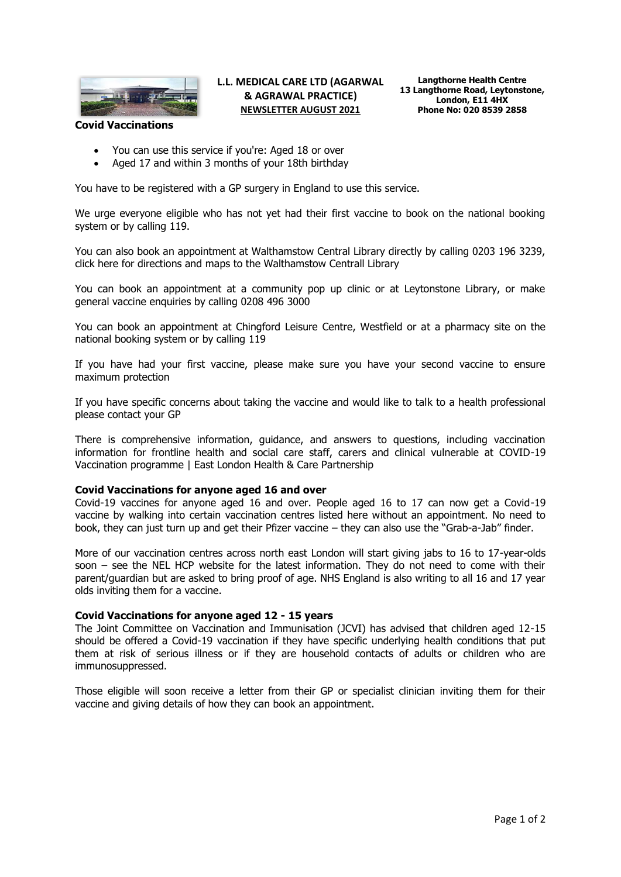

## **L.L. MEDICAL CARE LTD (AGARWAL & AGRAWAL PRACTICE) NEWSLETTER AUGUST 2021**

### **Covid Vaccinations**

- You can use this service if you're: Aged 18 or over
- Aged 17 and within 3 months of your 18th birthday

You have to be registered with a GP surgery in England to use this service.

We urge everyone eligible who has not yet had their first vaccine to book on the national booking system or by calling 119.

You can also book an appointment at Walthamstow Central Library directly by calling 0203 196 3239, click here for directions and maps to the Walthamstow Centrall Library

You can book an appointment at a community pop up clinic or at Leytonstone Library, or make general vaccine enquiries by calling 0208 496 3000

You can book an appointment at Chingford Leisure Centre, Westfield or at a pharmacy site on the national booking system or by calling 119

If you have had your first vaccine, please make sure you have your second vaccine to ensure maximum protection

If you have specific concerns about taking the vaccine and would like to talk to a health professional please contact your GP

There is comprehensive information, guidance, and answers to questions, including vaccination information for frontline health and social care staff, carers and clinical vulnerable at COVID-19 Vaccination programme | East London Health & Care Partnership

#### **Covid Vaccinations for anyone aged 16 and over**

Covid-19 vaccines for anyone aged 16 and over. People aged 16 to 17 can now get a Covid-19 vaccine by walking into certain vaccination centres listed here without an appointment. No need to book, they can just turn up and get their Pfizer vaccine – they can also use the "Grab-a-Jab" finder.

More of our vaccination centres across north east London will start giving jabs to 16 to 17-year-olds soon – see the NEL HCP website for the latest information. They do not need to come with their parent/guardian but are asked to bring proof of age. NHS England is also writing to all 16 and 17 year olds inviting them for a vaccine.

#### **Covid Vaccinations for anyone aged 12 - 15 years**

The Joint Committee on Vaccination and Immunisation (JCVI) has advised that children aged 12-15 should be offered a Covid-19 vaccination if they have specific underlying health conditions that put them at risk of serious illness or if they are household contacts of adults or children who are immunosuppressed.

Those eligible will soon receive a letter from their GP or specialist clinician inviting them for their vaccine and giving details of how they can book an appointment.